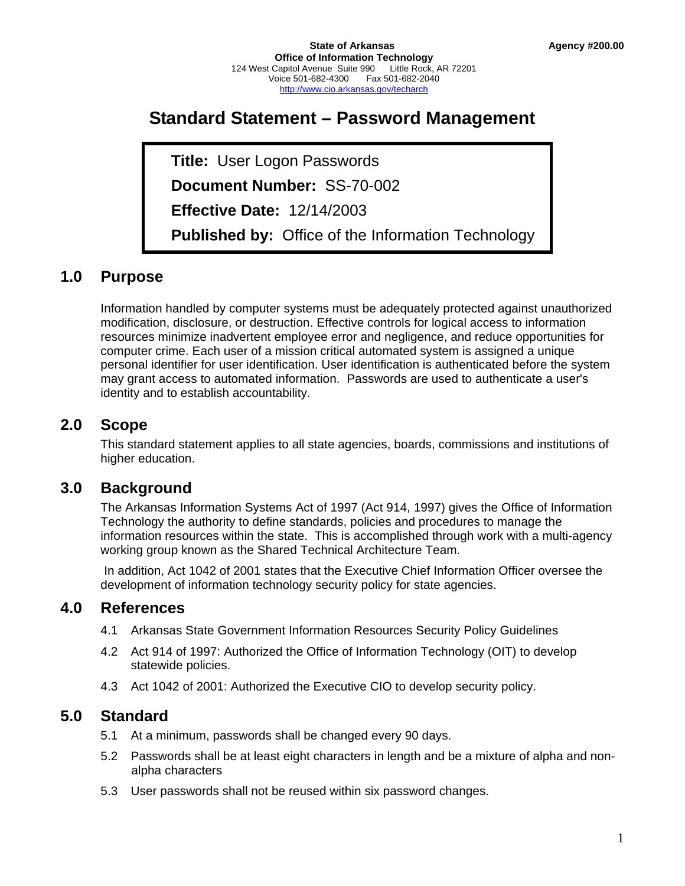# **Standard Statement – Password Management**

 **Title:** User Logon Passwords  **Document Number:** SS-70-002  **Effective Date:** 12/14/2003  **Published by:** Office of the Information Technology

## **1.0 Purpose**

Information handled by computer systems must be adequately protected against unauthorized modification, disclosure, or destruction. Effective controls for logical access to information resources minimize inadvertent employee error and negligence, and reduce opportunities for computer crime. Each user of a mission critical automated system is assigned a unique personal identifier for user identification. User identification is authenticated before the system may grant access to automated information. Passwords are used to authenticate a user's identity and to establish accountability.

## **2.0 Scope**

This standard statement applies to all state agencies, boards, commissions and institutions of higher education.

## **3.0 Background**

The Arkansas Information Systems Act of 1997 (Act 914, 1997) gives the Office of Information Technology the authority to define standards, policies and procedures to manage the information resources within the state. This is accomplished through work with a multi-agency working group known as the Shared Technical Architecture Team.

 In addition, Act 1042 of 2001 states that the Executive Chief Information Officer oversee the development of information technology security policy for state agencies.

## **4.0 References**

- 4.1 Arkansas State Government Information Resources Security Policy Guidelines
- 4.2 Act 914 of 1997: Authorized the Office of Information Technology (OIT) to develop statewide policies.
- 4.3 Act 1042 of 2001: Authorized the Executive CIO to develop security policy.

## **5.0 Standard**

- 5.1 At a minimum, passwords shall be changed every 90 days.
- 5.2 Passwords shall be at least eight characters in length and be a mixture of alpha and nonalpha characters
- 5.3 User passwords shall not be reused within six password changes.